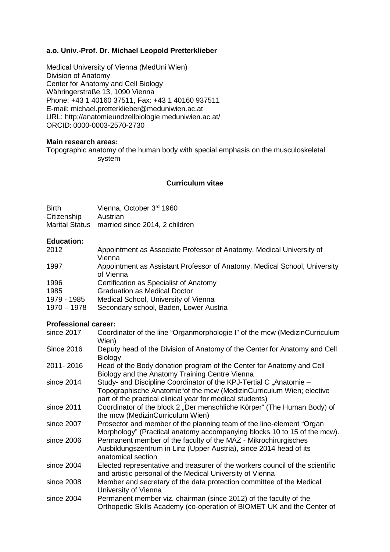#### **a.o. Univ.-Prof. Dr. Michael Leopold Pretterklieber**

Medical University of Vienna (MedUni Wien) Division of Anatomy Center for Anatomy and Cell Biology Währingerstraße 13, 1090 Vienna Phone: +43 1 40160 37511, Fax: +43 1 40160 937511 E-mail: michael.pretterklieber@meduniwien.ac.at URL: http://anatomieundzellbiologie.meduniwien.ac.at/ ORCID: 0000-0003-2570-2730

#### **Main research areas:**

Topographic anatomy of the human body with special emphasis on the musculoskeletal system

### **Curriculum vitae**

| <b>Birth</b> | Vienna, October 3rd 1960                      |
|--------------|-----------------------------------------------|
| Citizenship  | Austrian                                      |
|              | Marital Status married since 2014, 2 children |

### **Education:**

| 2012          | Appointment as Associate Professor of Anatomy, Medical University of      |
|---------------|---------------------------------------------------------------------------|
|               | Vienna                                                                    |
| 1997          | Appointment as Assistant Professor of Anatomy, Medical School, University |
|               | of Vienna                                                                 |
| 1996          | Certification as Specialist of Anatomy                                    |
| 1985          | <b>Graduation as Medical Doctor</b>                                       |
| 1979 - 1985   | Medical School, University of Vienna                                      |
| $1970 - 1978$ | Secondary school, Baden, Lower Austria                                    |
|               |                                                                           |

#### **Professional career:**

| since 2017        | Coordinator of the line "Organmorphologie I" of the mcw (MedizinCurriculum<br>Wien)                                                                                                                     |
|-------------------|---------------------------------------------------------------------------------------------------------------------------------------------------------------------------------------------------------|
| <b>Since 2016</b> | Deputy head of the Division of Anatomy of the Center for Anatomy and Cell<br><b>Biology</b>                                                                                                             |
| 2011-2016         | Head of the Body donation program of the Center for Anatomy and Cell<br>Biology and the Anatomy Training Centre Vienna                                                                                  |
| since 2014        | Study- and Discipline Coordinator of the KPJ-Tertial C "Anatomie -<br>Topographische Anatomie"of the mcw (MedizinCurriculum Wien; elective<br>part of the practical clinical year for medical students) |
| since 2011        | Coordinator of the block 2 "Der menschliche Körper" (The Human Body) of<br>the mcw (MedizinCurriculum Wien)                                                                                             |
| since 2007        | Prosector and member of the planning team of the line-element "Organ<br>Morphology" (Practical anatomy accompanying blocks 10 to 15 of the mcw).                                                        |
| since 2006        | Permanent member of the faculty of the MAZ - Mikrochirurgisches<br>Ausbildungszentrum in Linz (Upper Austria), since 2014 head of its<br>anatomical section                                             |
| since 2004        | Elected representative and treasurer of the workers council of the scientific<br>and artistic personal of the Medical University of Vienna                                                              |
| since 2008        | Member and secretary of the data protection committee of the Medical<br>University of Vienna                                                                                                            |
| since 2004        | Permanent member viz. chairman (since 2012) of the faculty of the<br>Orthopedic Skills Academy (co-operation of BIOMET UK and the Center of                                                             |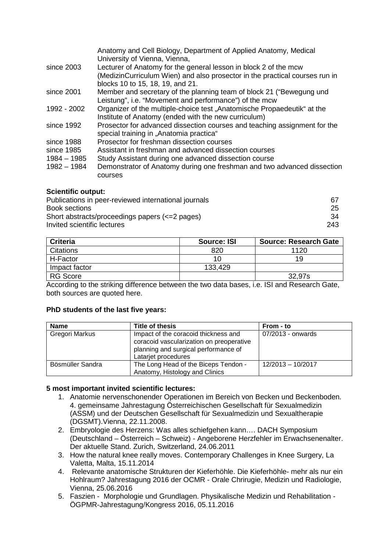|               | Anatomy and Cell Biology, Department of Applied Anatomy, Medical<br>University of Vienna, Vienna, |
|---------------|---------------------------------------------------------------------------------------------------|
| since 2003    | Lecturer of Anatomy for the general lesson in block 2 of the mcw                                  |
|               | (MedizinCurriculum Wien) and also prosector in the practical courses run in                       |
|               | blocks 10 to 15, 18, 19, and 21.                                                                  |
| since 2001    | Member and secretary of the planning team of block 21 ("Bewegung und                              |
|               | Leistung", i.e. "Movement and performance") of the mcw                                            |
| 1992 - 2002   | Organizer of the multiple-choice test, Anatomische Propaedeutik" at the                           |
|               | Institute of Anatomy (ended with the new curriculum)                                              |
| since 1992    | Prosector for advanced dissection courses and teaching assignment for the                         |
|               | special training in "Anatomia practica"                                                           |
| since 1988    | Prosector for freshman dissection courses                                                         |
| since 1985    | Assistant in freshman and advanced dissection courses                                             |
| 1984 - 1985   | Study Assistant during one advanced dissection course                                             |
| $1982 - 1984$ | Demonstrator of Anatomy during one freshman and two advanced dissection                           |
|               | courses                                                                                           |
|               |                                                                                                   |

### **Scientific output:**

| Publications in peer-reviewed international journals | 67  |
|------------------------------------------------------|-----|
| Book sections                                        | 25  |
| Short abstracts/proceedings papers (<= 2 pages)      | :34 |
| Invited scientific lectures                          | 243 |
|                                                      |     |

| <b>Criteria</b> | <b>Source: ISI</b> | <b>Source: Research Gate</b> |
|-----------------|--------------------|------------------------------|
| Citations       | 820                | 1120                         |
| H-Factor        |                    | 19                           |
| Impact factor   | 133,429            |                              |
| <b>RG Score</b> |                    | 32,97s                       |

According to the striking difference between the two data bases, i.e. ISI and Research Gate, both sources are quoted here.

#### **PhD students of the last five years:**

| <b>Name</b>      | Title of thesis                                                                                                                                 | From - to           |
|------------------|-------------------------------------------------------------------------------------------------------------------------------------------------|---------------------|
| Gregori Markus   | Impact of the coracoid thickness and<br>coracoid vascularization on preoperative<br>planning and surgical performance of<br>Latarjet procedures | 07/2013 - onwards   |
| Bösmüller Sandra | The Long Head of the Biceps Tendon -<br>Anatomy, Histology and Clinics                                                                          | $12/2013 - 10/2017$ |

#### **5 most important invited scientific lectures:**

- 1. Anatomie nervenschonender Operationen im Bereich von Becken und Beckenboden. 4. gemeinsame Jahrestagung Österreichischen Gesellschaft für Sexualmedizin (ASSM) und der Deutschen Gesellschaft für Sexualmedizin und Sexualtherapie (DGSMT).Vienna, 22.11.2008.
- 2. Embryologie des Herzens: Was alles schiefgehen kann…. DACH Symposium (Deutschland – Österreich – Schweiz) - Angeborene Herzfehler im Erwachsenenalter. Der aktuelle Stand. Zurich, Switzerland, 24.06.2011
- 3. How the natural knee really moves. Contemporary Challenges in Knee Surgery, La Valetta, Malta, 15.11.2014
- 4. Relevante anatomische Strukturen der Kieferhöhle. Die Kieferhöhle- mehr als nur ein Hohlraum? Jahrestagung 2016 der OCMR - Orale Chrirugie, Medizin und Radiologie, Vienna, 25.06.2016
- 5. Faszien Morphologie und Grundlagen. Physikalische Medizin und Rehabilitation ÖGPMR-Jahrestagung/Kongress 2016, 05.11.2016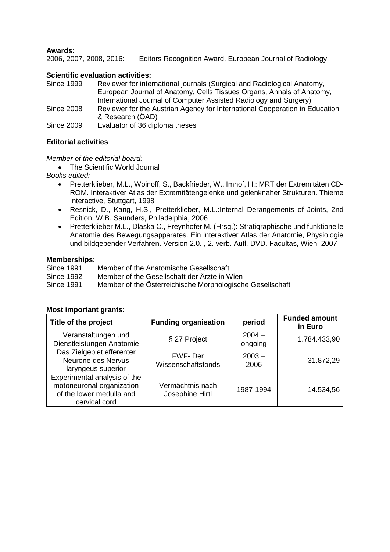### **Awards:**

2006, 2007, 2008, 2016: Editors Recognition Award, European Journal of Radiology

#### **Scientific evaluation activities:**

| <b>Since 1999</b> | Reviewer for international journals (Surgical and Radiological Anatomy,     |
|-------------------|-----------------------------------------------------------------------------|
|                   | European Journal of Anatomy, Cells Tissues Organs, Annals of Anatomy,       |
|                   | International Journal of Computer Assisted Radiology and Surgery)           |
| <b>Since 2008</b> | Reviewer for the Austrian Agency for International Cooperation in Education |
|                   | & Research (ÖAD)                                                            |
| Since 2009        | Evaluator of 36 diploma theses                                              |

### **Editorial activities**

#### *Member of the editorial board:*

• The Scientific World Journal

*Books edited:*

- Pretterklieber, M.L., Woinoff, S., Backfrieder, W., Imhof, H.: MRT der Extremitäten CD-ROM. Interaktiver Atlas der Extremitätengelenke und gelenknaher Strukturen. Thieme Interactive, Stuttgart, 1998
- Resnick, D., Kang, H.S., Pretterklieber, M.L.:Internal Derangements of Joints, 2nd Edition. W.B. Saunders, Philadelphia, 2006
- Pretterklieber M.L., Dlaska C., Freynhofer M. (Hrsg.): Stratigraphische und funktionelle Anatomie des Bewegungsapparates. Ein interaktiver Atlas der Anatomie, Physiologie und bildgebender Verfahren. Version 2.0. , 2. verb. Aufl. DVD. Facultas, Wien, 2007

# **Memberships:**

Since 1991 Member of the Anatomische Gesellschaft<br>Since 1992 Member of the Gesellschaft der Ärzte in W Member of the Gesellschaft der Ärzte in Wien Since 1991 Member of the Österreichische Morphologische Gesellschaft

#### **Title of the project Funding organisation period Funded amount in Euro** Veranstaltungen und Veranstaltungen und<br>Dienstleistungen Anatomie § 27 Project 2004 – ongoing ongoing 1.784.433,90 Das Zielgebiet efferenter Neurone des Nervus laryngeus superior FWF- Der Wissenschaftsfonds 2003 –  $2006$  31.872,29 Experimental analysis of the motoneuronal organization of the lower medulla and cervical cord Vermächtnis nach dosephine Hirtl 1987-1994 14.534,56

#### **Most important grants:**